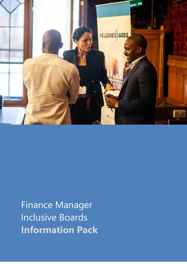

Finance Manager Inclusive Boards **Information Pack**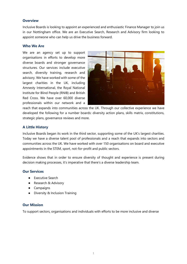#### **Overview**

Inclusive Boards is looking to appoint an experienced and enthusiastic Finance Manager to join us in our Nottingham office. We are an Executive Search, Research and Advisory firm looking to appoint someone who can help us drive the business forward.

#### **Who We Are**

We are an agency set up to support organisations in efforts to develop more diverse boards and stronger governance structures. Our services include executive search, diversity training, research and advisory. We have worked with some of the largest charities in the UK, including Amnesty International, the Royal National Institute for Blind People (RNIB) and British Red Cross. We have over 60,000 diverse professionals within our network and a



reach that expands into communities across the UK. Through our collective experience we have developed the following for a number boards: diversity action plans, skills matrix, constitutions, strategic plans, governance reviews and more.

## **A Little History**

Inclusive Boards began its work in the third sector, supporting some of the UK's largest charities. Today we have a diverse talent pool of professionals and a reach that expands into sectors and communities across the UK. We have worked with over 150 organisations on board and executive appointments in the STEM, sport, not-for-profit and public sectors.

Evidence shows that in order to ensure diversity of thought and experience is present during decision making processes, it's imperative that there's a diverse leadership team.

## **Our Services**

- Executive Search
- Research & Advisory
- Campaigns
- Diversity & Inclusion Training

## **Our Mission**

To support sectors, organisations and individuals with efforts to be more inclusive and diverse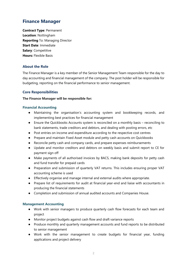# **Finance Manager**

**Contract Type**: Permanent **Location**: Nottingham **Reporting** To: Managing Director **Start Date**: Immediate **Salary**: Competitive **Hours:** Flexible Basis

# **About the Role**

The Finance Manager is a key member of the Senior Management Team responsible for the day to day accounting and financial management of the company. The post holder will be responsible for budgeting, reporting on the financial performance to senior management.

## **Core Responsibilities**

## **The Finance Manager will be responsible for:**

## **Financial Accounting**

- Maintaining the organisation's accounting system and bookkeeping records, and implementing best practices for financial management
- Ensure the Quickbooks Accounts system is reconciled on a monthly basis reconciling to bank statements, trade creditors and debtors, and dealing with posting errors, etc
- Post entries on income and expenditure according to the respective cost centres
- Prepare and maintain Fixed Asset module and petty cash accounts on Quickbooks
- Reconcile petty cash and company cards, and prepare expenses reimbursements
- Update and monitor creditors and debtors on weekly basis and submit report to CE for payment sign off
- Make payments of all authorised invoices by BACS, making bank deposits for petty cash and fund transfer for prepaid cards
- Preparation and submission of quarterly VAT returns. This includes ensuring proper VAT accounting scheme is used
- Effectively organise and manage internal and external audits where appropriate.
- Prepare list of requirements for audit at financial year-end and liaise with accountants in producing the financial statements
- Completion and submission of annual audited accounts and Companies House.

## **Management Accounting**

- Work with senior managers to produce quarterly cash flow forecasts for each team and project
- Monitor project budgets against cash flow and draft variance reports
- Produce monthly and quarterly management accounts and fund reports to be distributed to senior management
- Work with the senior management to create budgets for financial year, funding applications and project delivery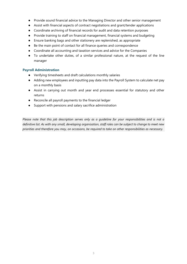- Provide sound financial advice to the Managing Director and other senior management
- Assist with financial aspects of contract negotiations and grant/tender applications
- Coordinate archiving of financial records for audit and data retention purposes
- Provide training to staff on financial management, financial systems and budgeting
- Ensure banking bags and other stationery are replenished, as appropriate
- Be the main point of contact for all finance queries and correspondence
- Coordinate all accounting and taxation services and advice for the Companies
- To undertake other duties, of a similar professional nature, at the request of the line manager

## **Payroll Administration**

- Verifying timesheets and draft calculations monthly salaries
- Adding new employees and inputting pay data into the Payroll System to calculate net pay on a monthly basis
- Assist in carrying out month and year end processes essential for statutory and other returns
- Reconcile all payroll payments to the financial ledger
- Support with pensions and salary sacrifice administration

*Please note that this job description serves only as a guideline for your responsibilities and is not a definitive list. As with any small, developing organisation, staff roles can be subject to change to meet new priorities and therefore you may, on occasions, be required to take on other responsibilities as necessary.*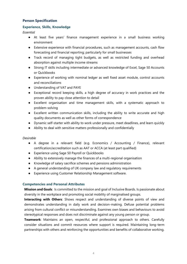## **Person Specification**

### **Experience, Skills, Knowledge**

*Essential*

- At least five years' finance management experience in a small business working environment
- Extensive experience with financial procedures, such as management accounts, cash flow forecasting and financial reporting; particularly for small businesses
- Track record of managing tight budgets, as well as restricted funding and overhead absorption against multiple income streams
- Strong IT skills including intermediate or advanced knowledge of Excel, Sage 50 Accounts or Quickbooks
- Experience of working with nominal ledger as well fixed asset module, control accounts and reconciliations
- Understanding of VAT and PAYE
- Exceptional record keeping skills, a high degree of accuracy in work practices and the proven ability to pay close attention to detail
- Excellent organisation and time management skills, with a systematic approach to problem-solving
- Excellent written communication skills, including the ability to write accurate and high quality documents as well as other forms of correspondence
- Dynamic self-starter with ability to work under pressure, meet deadlines, and learn quickly
- Ability to deal with sensitive matters professionally and confidentially

#### *Desirable*

- A degree in a relevant field (e.g. Economics / Accounting / Finance), relevant certification/accreditation such as AAT or ACCA (at least part qualified)
- Experience using Sage 50 Payroll or Quickbooks
- Ability to extensively manage the finances of a multi-regional organisation
- Knowledge of salary sacrifice schemes and pensions administration
- A general understanding of UK company law and regulatory requirements
- Experience using Customer Relationship Management software.

## **Competencies and Personal Attributes**

**Mission and Goals**: Is committed to the mission and goal of Inclusive Boards. Is passionate about diversity in the workplace and promoting social mobility of marginalised groups.

**Interacting with Others**: Shows respect and understanding of diverse points of view and demonstrates understanding in daily work and decision-making. Defuse potential problems arising from cultural conflict or misunderstanding. Examines own biases and behaviours to avoid stereotypical responses and does not discriminate against any young person or group.

**Teamwork**: Maintains an open, respectful, and professional approach to others. Carefully consider situations and commit resources where support is required. Maintaining long-term partnerships with others and reinforcing the opportunities and benefits of collaborative working.